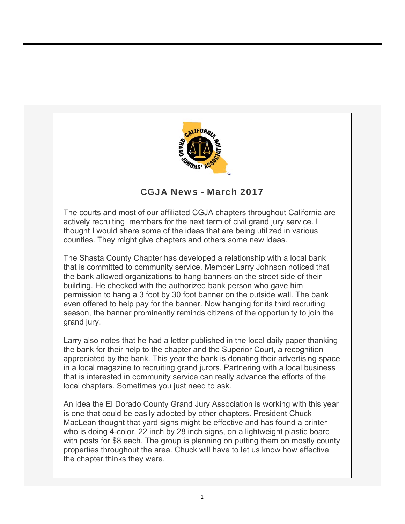

## CGJA News - March 2017

The courts and most of our affiliated CGJA chapters throughout California are actively recruiting members for the next term of civil grand jury service. I thought I would share some of the ideas that are being utilized in various counties. They might give chapters and others some new ideas.

The Shasta County Chapter has developed a relationship with a local bank that is committed to community service. Member Larry Johnson noticed that the bank allowed organizations to hang banners on the street side of their building. He checked with the authorized bank person who gave him permission to hang a 3 foot by 30 foot banner on the outside wall. The bank even offered to help pay for the banner. Now hanging for its third recruiting season, the banner prominently reminds citizens of the opportunity to join the grand jury.

Larry also notes that he had a letter published in the local daily paper thanking the bank for their help to the chapter and the Superior Court, a recognition appreciated by the bank. This year the bank is donating their advertising space in a local magazine to recruiting grand jurors. Partnering with a local business that is interested in community service can really advance the efforts of the local chapters. Sometimes you just need to ask.

An idea the El Dorado County Grand Jury Association is working with this year is one that could be easily adopted by other chapters. President Chuck MacLean thought that yard signs might be effective and has found a printer who is doing 4-color, 22 inch by 28 inch signs, on a lightweight plastic board with posts for \$8 each. The group is planning on putting them on mostly county properties throughout the area. Chuck will have to let us know how effective the chapter thinks they were.